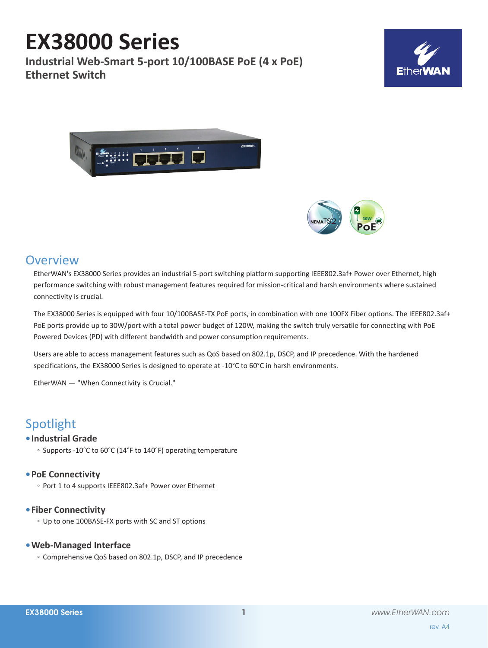# **EX38000 Series**

**Industrial Web-Smart 5-port 10/100BASE PoE (4 x PoE) Ethernet Switch**







# **Overview**

EtherWAN's EX38000 Series provides an industrial 5-port switching platform supporting IEEE802.3af+ Power over Ethernet, high performance switching with robust management features required for mission-critical and harsh environments where sustained connectivity is crucial.

The EX38000 Series is equipped with four 10/100BASE-TX PoE ports, in combination with one 100FX Fiber options. The IEEE802.3af+ PoE ports provide up to 30W/port with a total power budget of 120W, making the switch truly versatile for connecting with PoE Powered Devices (PD) with different bandwidth and power consumption requirements.

Users are able to access management features such as QoS based on 802.1p, DSCP, and IP precedence. With the hardened specifications, the EX38000 Series is designed to operate at -10°C to 60°C in harsh environments.

EtherWAN — "When Connectivity is Crucial."

# Spotlight

# **• Industrial Grade**

◦ Supports -10°C to 60°C (14°F to 140°F) operating temperature

# **• PoE Connectivity**

◦ Port 1 to 4 supports IEEE802.3af+ Power over Ethernet

### **• Fiber Connectivity**

◦ Up to one 100BASE-FX ports with SC and ST options

# **• Web-Managed Interface**

◦ Comprehensive QoS based on 802.1p, DSCP, and IP precedence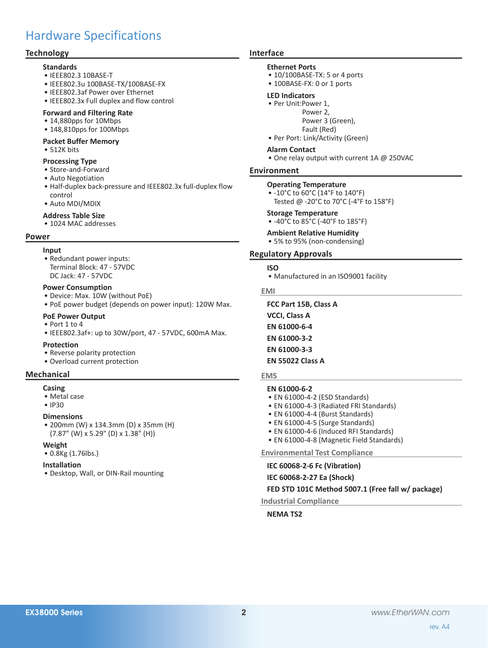# Hardware Specifications

### **Technology**

#### **Standards**

- • IEEE802.3 10BASE-T
- • IEEE802.3u 100BASE-TX/100BASE-FX
- • IEEE802.3af Power over Ethernet
- • IEEE802.3x Full duplex and flow control

#### **Forward and Filtering Rate**

- 14,880pps for 10Mbps
- 148,810pps for 100Mbps

# **Packet Buffer Memory**

• 512K bits

#### **Processing Type**

- • Store-and-Forward
- Auto Negotiation
- • Half-duplex back-pressure and IEEE802.3x full-duplex flow control
- • Auto MDI/MDIX

#### **Address Table Size**

• 1024 MAC addresses

#### **Power**

#### **Input**

• Redundant power inputs: Terminal Block: 47 - 57VDC DC Jack: 47 - 57VDC

#### **Power Consumption**

- • Device: Max. 10W (without PoE)
- PoE power budget (depends on power input): 120W Max.

#### **PoE Power Output**

- Port 1 to 4
- $\bullet$  IEEE802.3af+: up to 30W/port, 47 57VDC, 600mA Max.

#### **Protection**

- Reverse polarity protection
- • Overload current protection

#### **Mechanical**

#### **Casing**

- • Metal case
- • IP30

#### **Dimensions**

• 200mm (W) x 134.3mm (D) x 35mm (H) (7.87" (W) x 5.29" (D) x 1.38" (H))

#### **Weight**

• 0.8Kg (1.76lbs.)

#### **Installation**

• Desktop, Wall, or DIN-Rail mounting

#### **Interface**

#### **Ethernet Ports**

- 10/100BASE-TX: 5 or 4 ports
- 100BASE-FX: 0 or 1 ports

#### **LED Indicators**

- Per Unit:Power 1,
	- Power 2,
		- Power 3 (Green),
	- Fault (Red)
- Per Port: Link/Activity (Green)

#### **Alarm Contact**

• One relay output with current 1A @ 250VAC

#### **Environment**

#### **Operating Temperature**

• -10°C to 60°C (14°F to 140°F) Tested @ -20°C to 70°C (-4°F to 158°F)

#### **Storage Temperature**

• -40°C to 85°C (-40°F to 185°F)

### **Ambient Relative Humidity**

• 5% to 95% (non-condensing)

#### **Regulatory Approvals**

- **ISO**
- Manufactured in an ISO9001 facility

#### **EMI**

**FCC Part 15B, Class A VCCI, Class A**

- **EN 61000-6-4**
- **EN 61000-3-2**
- **EN 61000-3-3**

#### **EN 55022 Class A**

#### **EMS**

#### **EN 61000-6-2**

- EN 61000-4-2 (ESD Standards)
- EN 61000-4-3 (Radiated FRI Standards)
- EN 61000-4-4 (Burst Standards)
- EN 61000-4-5 (Surge Standards)
- EN 61000-4-6 (Induced RFI Standards)
- EN 61000-4-8 (Magnetic Field Standards)

**Environmental Test Compliance**

**IEC 60068-2-6 Fc (Vibration)**

#### **IEC 60068-2-27 Ea (Shock)**

#### **FED STD 101C Method 5007.1 (Free fall w/ package)**

**Industrial Compliance**

#### **NEMA TS2**